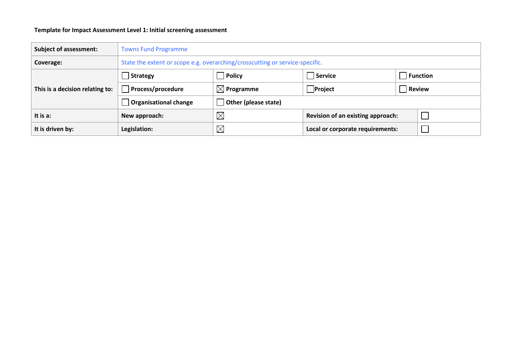## **Template for Impact Assessment Level 1: Initial screening assessment**

| <b>Subject of assessment:</b>   | <b>Towns Fund Programme</b>                                                  |                                         |                                   |               |  |
|---------------------------------|------------------------------------------------------------------------------|-----------------------------------------|-----------------------------------|---------------|--|
| Coverage:                       | State the extent or scope e.g. overarching/crosscutting or service-specific. |                                         |                                   |               |  |
|                                 | Strategy                                                                     | Policy                                  | Service<br><b>Function</b>        |               |  |
| This is a decision relating to: | <b>Process/procedure</b>                                                     | $_\shortparallel$ $\boxtimes$ Programme | $ $ Project                       | <b>Review</b> |  |
|                                 | Organisational change                                                        | Other (please state)                    |                                   |               |  |
| It is a:                        | New approach:                                                                | $\boxtimes$                             | Revision of an existing approach: |               |  |
| It is driven by:                | Legislation:                                                                 | $\boxtimes$                             | Local or corporate requirements:  |               |  |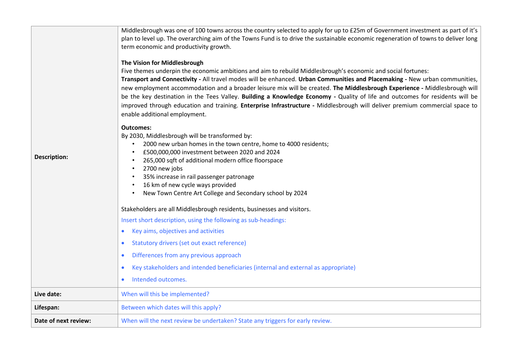| <b>Description:</b>  | Middlesbrough was one of 100 towns across the country selected to apply for up to £25m of Government investment as part of it's<br>plan to level up. The overarching aim of the Towns Fund is to drive the sustainable economic regeneration of towns to deliver long<br>term economic and productivity growth.<br>The Vision for Middlesbrough<br>Five themes underpin the economic ambitions and aim to rebuild Middlesbrough's economic and social fortunes:<br>Transport and Connectivity - All travel modes will be enhanced. Urban Communities and Placemaking - New urban communities,<br>new employment accommodation and a broader leisure mix will be created. The Middlesbrough Experience - Middlesbrough will<br>be the key destination in the Tees Valley. Building a Knowledge Economy - Quality of life and outcomes for residents will be<br>improved through education and training. Enterprise Infrastructure - Middlesbrough will deliver premium commercial space to<br>enable additional employment.<br><b>Outcomes:</b><br>By 2030, Middlesbrough will be transformed by:<br>2000 new urban homes in the town centre, home to 4000 residents;<br>£500,000,000 investment between 2020 and 2024<br>265,000 sqft of additional modern office floorspace<br>2700 new jobs<br>$\bullet$<br>35% increase in rail passenger patronage<br>16 km of new cycle ways provided<br>New Town Centre Art College and Secondary school by 2024<br>$\bullet$<br>Stakeholders are all Middlesbrough residents, businesses and visitors.<br>Insert short description, using the following as sub-headings:<br>Key aims, objectives and activities<br>Statutory drivers (set out exact reference)<br>$\bullet$<br>Differences from any previous approach<br>$\bullet$<br>Key stakeholders and intended beneficiaries (internal and external as appropriate)<br>Intended outcomes. |
|----------------------|---------------------------------------------------------------------------------------------------------------------------------------------------------------------------------------------------------------------------------------------------------------------------------------------------------------------------------------------------------------------------------------------------------------------------------------------------------------------------------------------------------------------------------------------------------------------------------------------------------------------------------------------------------------------------------------------------------------------------------------------------------------------------------------------------------------------------------------------------------------------------------------------------------------------------------------------------------------------------------------------------------------------------------------------------------------------------------------------------------------------------------------------------------------------------------------------------------------------------------------------------------------------------------------------------------------------------------------------------------------------------------------------------------------------------------------------------------------------------------------------------------------------------------------------------------------------------------------------------------------------------------------------------------------------------------------------------------------------------------------------------------------------------------------------------------------------------------------------------------------------------------------|
| Live date:           | When will this be implemented?                                                                                                                                                                                                                                                                                                                                                                                                                                                                                                                                                                                                                                                                                                                                                                                                                                                                                                                                                                                                                                                                                                                                                                                                                                                                                                                                                                                                                                                                                                                                                                                                                                                                                                                                                                                                                                                        |
| Lifespan:            | Between which dates will this apply?                                                                                                                                                                                                                                                                                                                                                                                                                                                                                                                                                                                                                                                                                                                                                                                                                                                                                                                                                                                                                                                                                                                                                                                                                                                                                                                                                                                                                                                                                                                                                                                                                                                                                                                                                                                                                                                  |
| Date of next review: | When will the next review be undertaken? State any triggers for early review.                                                                                                                                                                                                                                                                                                                                                                                                                                                                                                                                                                                                                                                                                                                                                                                                                                                                                                                                                                                                                                                                                                                                                                                                                                                                                                                                                                                                                                                                                                                                                                                                                                                                                                                                                                                                         |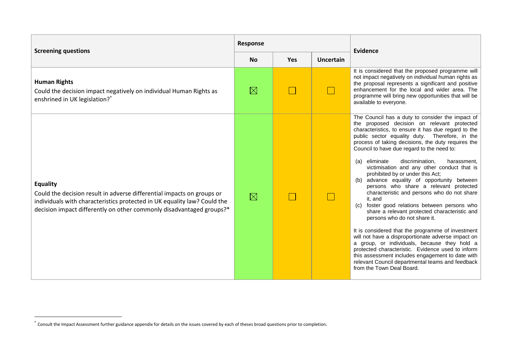| <b>Screening questions</b>                                                                                                                                                                                                                    |             |                                             |  | Evidence                                                                                                                                                                                                                                                                                                                                                                                                                                                                                                                                                                                                                                                                                                                                                                                                                                                                                                                                                                                                                                                                                           |  |
|-----------------------------------------------------------------------------------------------------------------------------------------------------------------------------------------------------------------------------------------------|-------------|---------------------------------------------|--|----------------------------------------------------------------------------------------------------------------------------------------------------------------------------------------------------------------------------------------------------------------------------------------------------------------------------------------------------------------------------------------------------------------------------------------------------------------------------------------------------------------------------------------------------------------------------------------------------------------------------------------------------------------------------------------------------------------------------------------------------------------------------------------------------------------------------------------------------------------------------------------------------------------------------------------------------------------------------------------------------------------------------------------------------------------------------------------------------|--|
|                                                                                                                                                                                                                                               |             | <b>No</b><br><b>Yes</b><br><b>Uncertain</b> |  |                                                                                                                                                                                                                                                                                                                                                                                                                                                                                                                                                                                                                                                                                                                                                                                                                                                                                                                                                                                                                                                                                                    |  |
| <b>Human Rights</b><br>Could the decision impact negatively on individual Human Rights as<br>enshrined in UK legislation? <sup>*</sup>                                                                                                        | $\boxtimes$ |                                             |  | It is considered that the proposed programme will<br>not impact negatively on individual human rights as<br>the proposal represents a significant and positive<br>enhancement for the local and wider area. The<br>programme will bring new opportunities that will be<br>available to everyone.                                                                                                                                                                                                                                                                                                                                                                                                                                                                                                                                                                                                                                                                                                                                                                                                   |  |
| <b>Equality</b><br>Could the decision result in adverse differential impacts on groups or<br>individuals with characteristics protected in UK equality law? Could the<br>decision impact differently on other commonly disadvantaged groups?* | $\boxtimes$ |                                             |  | The Council has a duty to consider the impact of<br>the proposed decision on relevant protected<br>characteristics, to ensure it has due regard to the<br>public sector equality duty. Therefore, in the<br>process of taking decisions, the duty requires the<br>Council to have due regard to the need to:<br>(a) eliminate<br>discrimination,<br>harassment,<br>victimisation and any other conduct that is<br>prohibited by or under this Act;<br>advance equality of opportunity between<br>(b)<br>persons who share a relevant protected<br>characteristic and persons who do not share<br>it. and<br>foster good relations between persons who<br>(C)<br>share a relevant protected characteristic and<br>persons who do not share it.<br>It is considered that the programme of investment<br>will not have a disproportionate adverse impact on<br>a group, or individuals, because they hold a<br>protected characteristic. Evidence used to inform<br>this assessment includes engagement to date with<br>relevant Council departmental teams and feedback<br>from the Town Deal Board. |  |

1

<sup>\*</sup> Consult the Impact Assessment further guidance appendix for details on the issues covered by each of theses broad questions prior to completion.